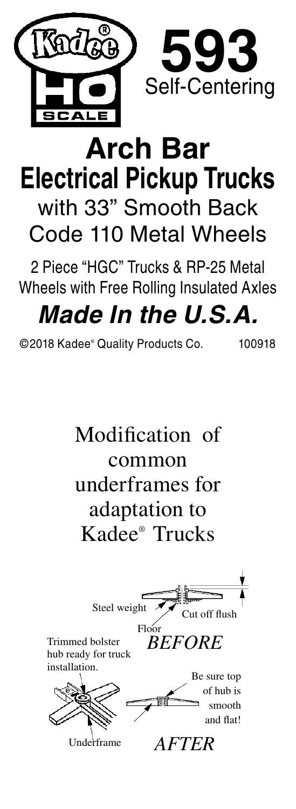

## **Arch Bar Electrical Pickup Trucks** with 33" Smooth Back Code 110 Metal Wheels

2 Piece "HGC" Trucks & RP-25 Metal Wheels with Free Rolling Insulated Axles

## *Made In the U.S.A.*

©2018 Kadee® Quality Products Co. 100918

Modification of common underframes for adaptation to Kadee® Trucks Cut off flush Steel weight